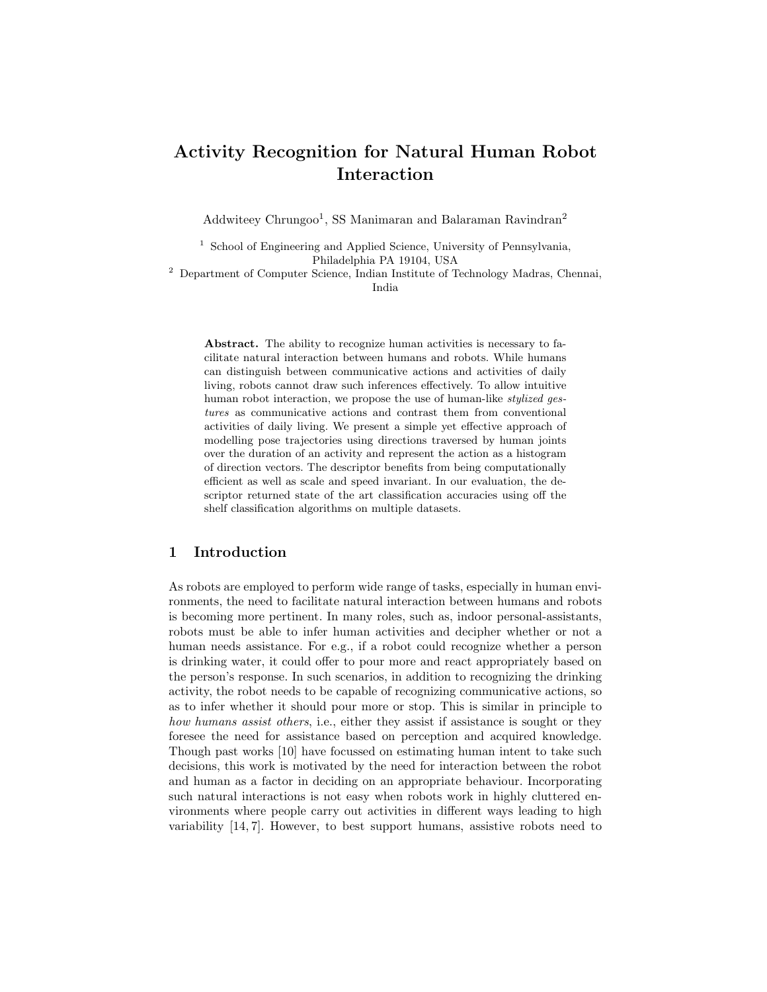# Activity Recognition for Natural Human Robot Interaction

Addwiteey Chrungoo<sup>1</sup>, SS Manimaran and Balaraman Ravindran<sup>2</sup>

<sup>1</sup> School of Engineering and Applied Science, University of Pennsylvania, Philadelphia PA 19104, USA

<sup>2</sup> Department of Computer Science, Indian Institute of Technology Madras, Chennai, India

Abstract. The ability to recognize human activities is necessary to facilitate natural interaction between humans and robots. While humans can distinguish between communicative actions and activities of daily living, robots cannot draw such inferences effectively. To allow intuitive human robot interaction, we propose the use of human-like *stylized ges*tures as communicative actions and contrast them from conventional activities of daily living. We present a simple yet effective approach of modelling pose trajectories using directions traversed by human joints over the duration of an activity and represent the action as a histogram of direction vectors. The descriptor benefits from being computationally efficient as well as scale and speed invariant. In our evaluation, the descriptor returned state of the art classification accuracies using off the shelf classification algorithms on multiple datasets.

## 1 Introduction

As robots are employed to perform wide range of tasks, especially in human environments, the need to facilitate natural interaction between humans and robots is becoming more pertinent. In many roles, such as, indoor personal-assistants, robots must be able to infer human activities and decipher whether or not a human needs assistance. For e.g., if a robot could recognize whether a person is drinking water, it could offer to pour more and react appropriately based on the person's response. In such scenarios, in addition to recognizing the drinking activity, the robot needs to be capable of recognizing communicative actions, so as to infer whether it should pour more or stop. This is similar in principle to how humans assist others, i.e., either they assist if assistance is sought or they foresee the need for assistance based on perception and acquired knowledge. Though past works [10] have focussed on estimating human intent to take such decisions, this work is motivated by the need for interaction between the robot and human as a factor in deciding on an appropriate behaviour. Incorporating such natural interactions is not easy when robots work in highly cluttered environments where people carry out activities in different ways leading to high variability [14, 7]. However, to best support humans, assistive robots need to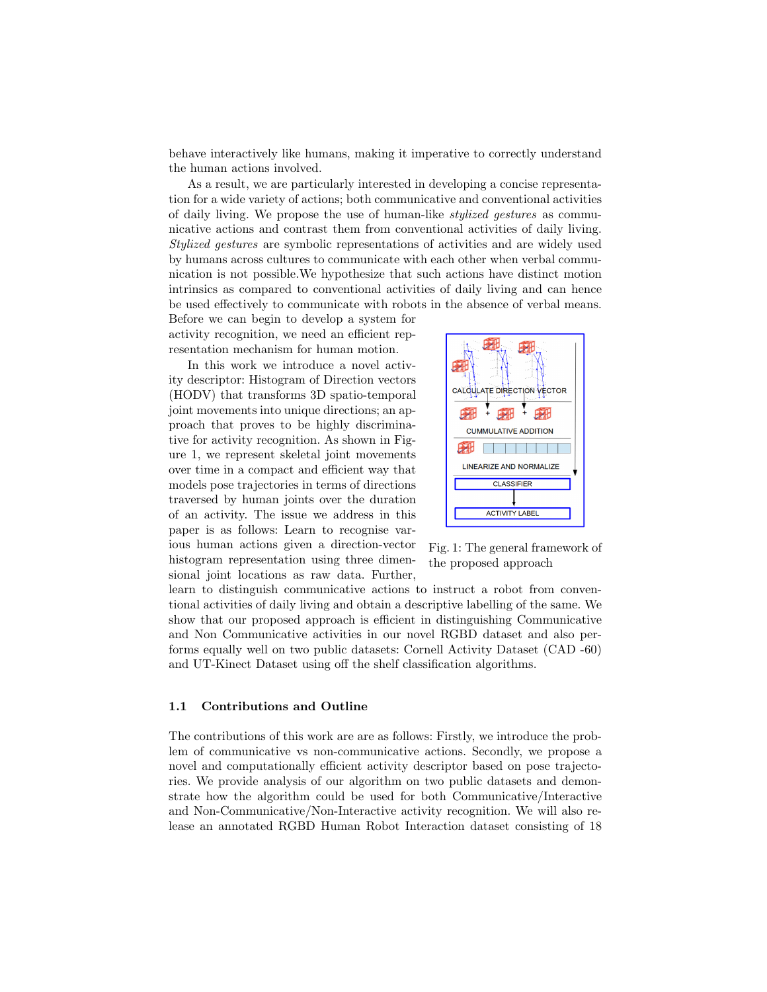behave interactively like humans, making it imperative to correctly understand the human actions involved.

As a result, we are particularly interested in developing a concise representation for a wide variety of actions; both communicative and conventional activities of daily living. We propose the use of human-like stylized gestures as communicative actions and contrast them from conventional activities of daily living. Stylized gestures are symbolic representations of activities and are widely used by humans across cultures to communicate with each other when verbal communication is not possible.We hypothesize that such actions have distinct motion intrinsics as compared to conventional activities of daily living and can hence be used effectively to communicate with robots in the absence of verbal means.

Before we can begin to develop a system for activity recognition, we need an efficient representation mechanism for human motion.

In this work we introduce a novel activity descriptor: Histogram of Direction vectors (HODV) that transforms 3D spatio-temporal joint movements into unique directions; an approach that proves to be highly discriminative for activity recognition. As shown in Figure 1, we represent skeletal joint movements over time in a compact and efficient way that models pose trajectories in terms of directions traversed by human joints over the duration of an activity. The issue we address in this paper is as follows: Learn to recognise various human actions given a direction-vector histogram representation using three dimensional joint locations as raw data. Further,



Fig. 1: The general framework of the proposed approach

learn to distinguish communicative actions to instruct a robot from conventional activities of daily living and obtain a descriptive labelling of the same. We show that our proposed approach is efficient in distinguishing Communicative and Non Communicative activities in our novel RGBD dataset and also performs equally well on two public datasets: Cornell Activity Dataset (CAD -60) and UT-Kinect Dataset using off the shelf classification algorithms.

#### 1.1 Contributions and Outline

The contributions of this work are are as follows: Firstly, we introduce the problem of communicative vs non-communicative actions. Secondly, we propose a novel and computationally efficient activity descriptor based on pose trajectories. We provide analysis of our algorithm on two public datasets and demonstrate how the algorithm could be used for both Communicative/Interactive and Non-Communicative/Non-Interactive activity recognition. We will also release an annotated RGBD Human Robot Interaction dataset consisting of 18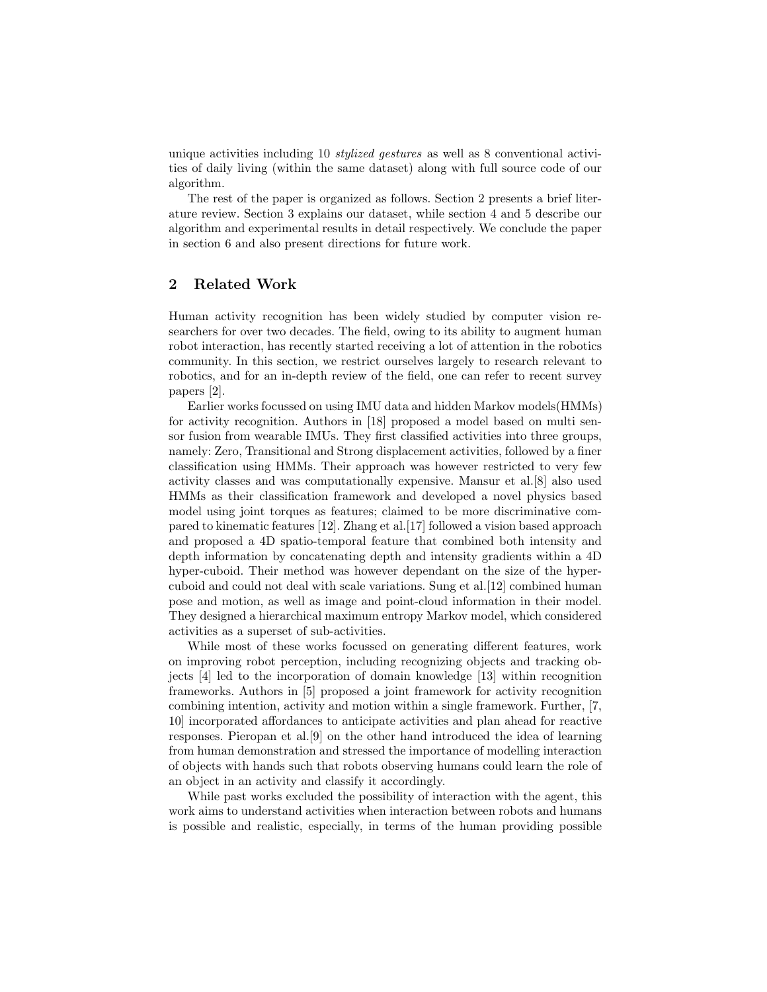unique activities including 10 stylized gestures as well as 8 conventional activities of daily living (within the same dataset) along with full source code of our algorithm.

The rest of the paper is organized as follows. Section 2 presents a brief literature review. Section 3 explains our dataset, while section 4 and 5 describe our algorithm and experimental results in detail respectively. We conclude the paper in section 6 and also present directions for future work.

## 2 Related Work

Human activity recognition has been widely studied by computer vision researchers for over two decades. The field, owing to its ability to augment human robot interaction, has recently started receiving a lot of attention in the robotics community. In this section, we restrict ourselves largely to research relevant to robotics, and for an in-depth review of the field, one can refer to recent survey papers [2].

Earlier works focussed on using IMU data and hidden Markov models(HMMs) for activity recognition. Authors in [18] proposed a model based on multi sensor fusion from wearable IMUs. They first classified activities into three groups, namely: Zero, Transitional and Strong displacement activities, followed by a finer classification using HMMs. Their approach was however restricted to very few activity classes and was computationally expensive. Mansur et al.[8] also used HMMs as their classification framework and developed a novel physics based model using joint torques as features; claimed to be more discriminative compared to kinematic features [12]. Zhang et al.[17] followed a vision based approach and proposed a 4D spatio-temporal feature that combined both intensity and depth information by concatenating depth and intensity gradients within a 4D hyper-cuboid. Their method was however dependant on the size of the hypercuboid and could not deal with scale variations. Sung et al.[12] combined human pose and motion, as well as image and point-cloud information in their model. They designed a hierarchical maximum entropy Markov model, which considered activities as a superset of sub-activities.

While most of these works focussed on generating different features, work on improving robot perception, including recognizing objects and tracking objects [4] led to the incorporation of domain knowledge [13] within recognition frameworks. Authors in [5] proposed a joint framework for activity recognition combining intention, activity and motion within a single framework. Further, [7, 10] incorporated affordances to anticipate activities and plan ahead for reactive responses. Pieropan et al.[9] on the other hand introduced the idea of learning from human demonstration and stressed the importance of modelling interaction of objects with hands such that robots observing humans could learn the role of an object in an activity and classify it accordingly.

While past works excluded the possibility of interaction with the agent, this work aims to understand activities when interaction between robots and humans is possible and realistic, especially, in terms of the human providing possible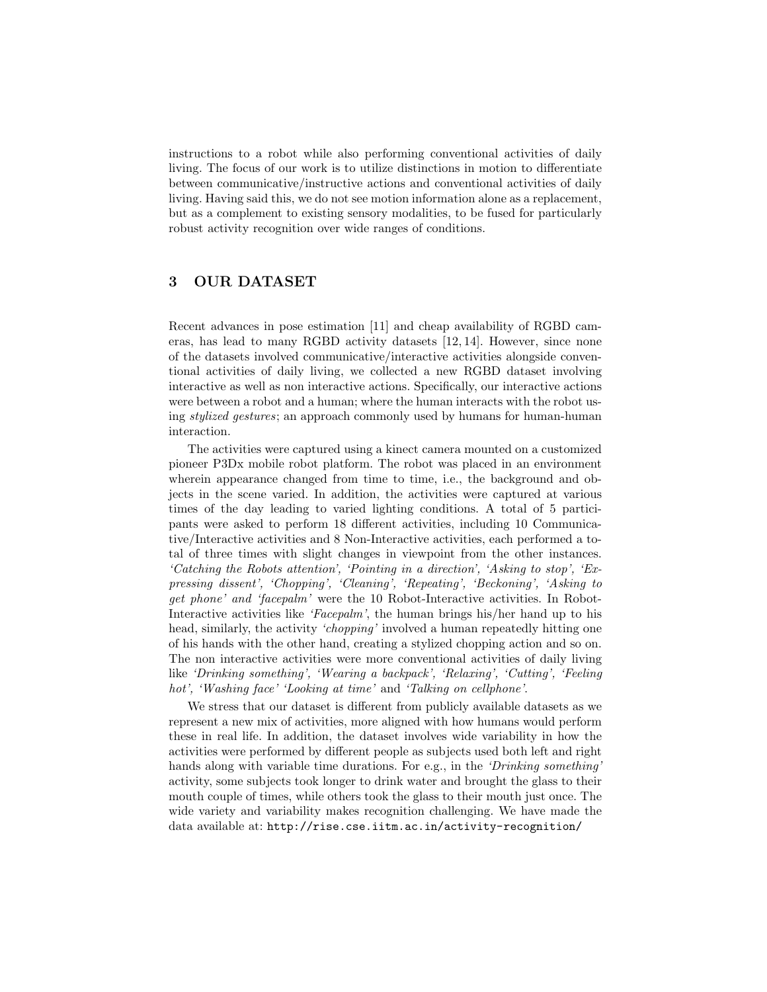instructions to a robot while also performing conventional activities of daily living. The focus of our work is to utilize distinctions in motion to differentiate between communicative/instructive actions and conventional activities of daily living. Having said this, we do not see motion information alone as a replacement, but as a complement to existing sensory modalities, to be fused for particularly robust activity recognition over wide ranges of conditions.

## 3 OUR DATASET

Recent advances in pose estimation [11] and cheap availability of RGBD cameras, has lead to many RGBD activity datasets [12, 14]. However, since none of the datasets involved communicative/interactive activities alongside conventional activities of daily living, we collected a new RGBD dataset involving interactive as well as non interactive actions. Specifically, our interactive actions were between a robot and a human; where the human interacts with the robot using stylized gestures; an approach commonly used by humans for human-human interaction.

The activities were captured using a kinect camera mounted on a customized pioneer P3Dx mobile robot platform. The robot was placed in an environment wherein appearance changed from time to time, i.e., the background and objects in the scene varied. In addition, the activities were captured at various times of the day leading to varied lighting conditions. A total of 5 participants were asked to perform 18 different activities, including 10 Communicative/Interactive activities and 8 Non-Interactive activities, each performed a total of three times with slight changes in viewpoint from the other instances. 'Catching the Robots attention', 'Pointing in a direction', 'Asking to stop', 'Expressing dissent', 'Chopping', 'Cleaning', 'Repeating', 'Beckoning', 'Asking to get phone' and 'facepalm' were the 10 Robot-Interactive activities. In Robot-Interactive activities like 'Facepalm', the human brings his/her hand up to his head, similarly, the activity *'chopping'* involved a human repeatedly hitting one of his hands with the other hand, creating a stylized chopping action and so on. The non interactive activities were more conventional activities of daily living like 'Drinking something', 'Wearing a backpack', 'Relaxing', 'Cutting', 'Feeling hot', 'Washing face' 'Looking at time' and 'Talking on cellphone'.

We stress that our dataset is different from publicly available datasets as we represent a new mix of activities, more aligned with how humans would perform these in real life. In addition, the dataset involves wide variability in how the activities were performed by different people as subjects used both left and right hands along with variable time durations. For e.g., in the 'Drinking something' activity, some subjects took longer to drink water and brought the glass to their mouth couple of times, while others took the glass to their mouth just once. The wide variety and variability makes recognition challenging. We have made the data available at: http://rise.cse.iitm.ac.in/activity-recognition/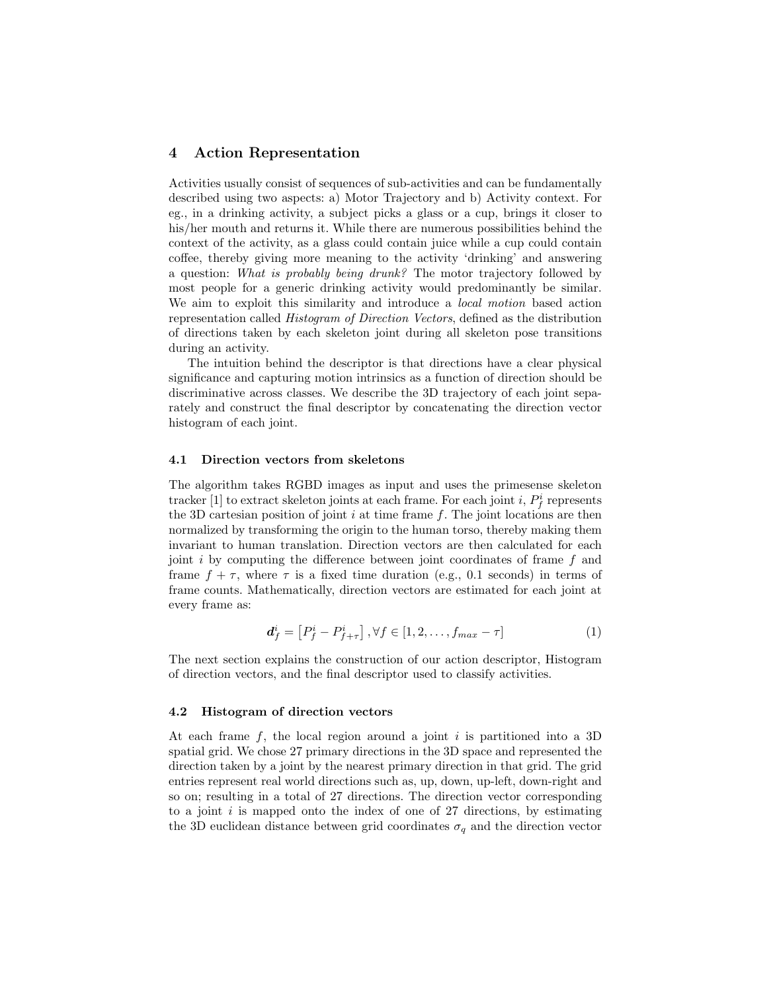## 4 Action Representation

Activities usually consist of sequences of sub-activities and can be fundamentally described using two aspects: a) Motor Trajectory and b) Activity context. For eg., in a drinking activity, a subject picks a glass or a cup, brings it closer to his/her mouth and returns it. While there are numerous possibilities behind the context of the activity, as a glass could contain juice while a cup could contain coffee, thereby giving more meaning to the activity 'drinking' and answering a question: What is probably being drunk? The motor trajectory followed by most people for a generic drinking activity would predominantly be similar. We aim to exploit this similarity and introduce a local motion based action representation called Histogram of Direction Vectors, defined as the distribution of directions taken by each skeleton joint during all skeleton pose transitions during an activity.

The intuition behind the descriptor is that directions have a clear physical significance and capturing motion intrinsics as a function of direction should be discriminative across classes. We describe the 3D trajectory of each joint separately and construct the final descriptor by concatenating the direction vector histogram of each joint.

#### 4.1 Direction vectors from skeletons

The algorithm takes RGBD images as input and uses the primesense skeleton tracker [1] to extract skeleton joints at each frame. For each joint  $i, P_f^i$  represents the 3D cartesian position of joint  $i$  at time frame  $f$ . The joint locations are then normalized by transforming the origin to the human torso, thereby making them invariant to human translation. Direction vectors are then calculated for each joint i by computing the difference between joint coordinates of frame f and frame  $f + \tau$ , where  $\tau$  is a fixed time duration (e.g., 0.1 seconds) in terms of frame counts. Mathematically, direction vectors are estimated for each joint at every frame as:

$$
\boldsymbol{d}_{f}^{i} = \left[ P_{f}^{i} - P_{f+\tau}^{i} \right], \forall f \in [1, 2, \dots, f_{max} - \tau] \tag{1}
$$

The next section explains the construction of our action descriptor, Histogram of direction vectors, and the final descriptor used to classify activities.

#### 4.2 Histogram of direction vectors

At each frame  $f$ , the local region around a joint  $i$  is partitioned into a 3D spatial grid. We chose 27 primary directions in the 3D space and represented the direction taken by a joint by the nearest primary direction in that grid. The grid entries represent real world directions such as, up, down, up-left, down-right and so on; resulting in a total of 27 directions. The direction vector corresponding to a joint  $i$  is mapped onto the index of one of 27 directions, by estimating the 3D euclidean distance between grid coordinates  $\sigma_q$  and the direction vector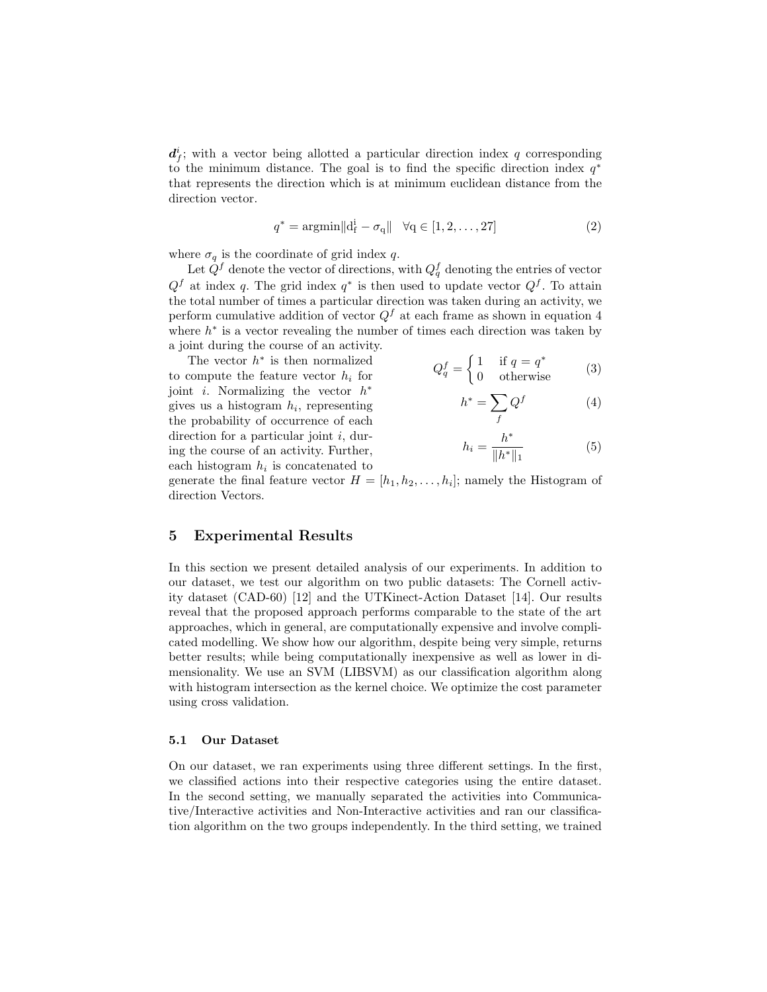$d_f^i$ ; with a vector being allotted a particular direction index q corresponding to the minimum distance. The goal is to find the specific direction index  $q^*$ that represents the direction which is at minimum euclidean distance from the direction vector.

$$
q^* = \operatorname{argmin} \|d_f^i - \sigma_q\| \quad \forall q \in [1, 2, \dots, 27]
$$
 (2)

where  $\sigma_q$  is the coordinate of grid index q.

Let  $\tilde{Q}^{f}$  denote the vector of directions, with  $Q_{q}^{f}$  denoting the entries of vector  $Q<sup>f</sup>$  at index q. The grid index  $q^*$  is then used to update vector  $Q<sup>f</sup>$ . To attain the total number of times a particular direction was taken during an activity, we perform cumulative addition of vector  $Q<sup>f</sup>$  at each frame as shown in equation 4 where  $h^*$  is a vector revealing the number of times each direction was taken by a joint during the course of an activity.

The vector  $h^*$  is then normalized to compute the feature vector  $h_i$  for joint *i*. Normalizing the vector  $h^*$ gives us a histogram  $h_i$ , representing the probability of occurrence of each direction for a particular joint  $i$ , during the course of an activity. Further, each histogram  $h_i$  is concatenated to

$$
Q_q^f = \begin{cases} 1 & \text{if } q = q^* \\ 0 & \text{otherwise} \end{cases}
$$
 (3)

$$
h^* = \sum_f Q^f \tag{4}
$$

$$
h_i = \frac{h^*}{\|h^*\|_1} \tag{5}
$$

generate the final feature vector  $H = [h_1, h_2, \ldots, h_i]$ ; namely the Histogram of direction Vectors.

## 5 Experimental Results

In this section we present detailed analysis of our experiments. In addition to our dataset, we test our algorithm on two public datasets: The Cornell activity dataset (CAD-60) [12] and the UTKinect-Action Dataset [14]. Our results reveal that the proposed approach performs comparable to the state of the art approaches, which in general, are computationally expensive and involve complicated modelling. We show how our algorithm, despite being very simple, returns better results; while being computationally inexpensive as well as lower in dimensionality. We use an SVM (LIBSVM) as our classification algorithm along with histogram intersection as the kernel choice. We optimize the cost parameter using cross validation.

#### 5.1 Our Dataset

On our dataset, we ran experiments using three different settings. In the first, we classified actions into their respective categories using the entire dataset. In the second setting, we manually separated the activities into Communicative/Interactive activities and Non-Interactive activities and ran our classification algorithm on the two groups independently. In the third setting, we trained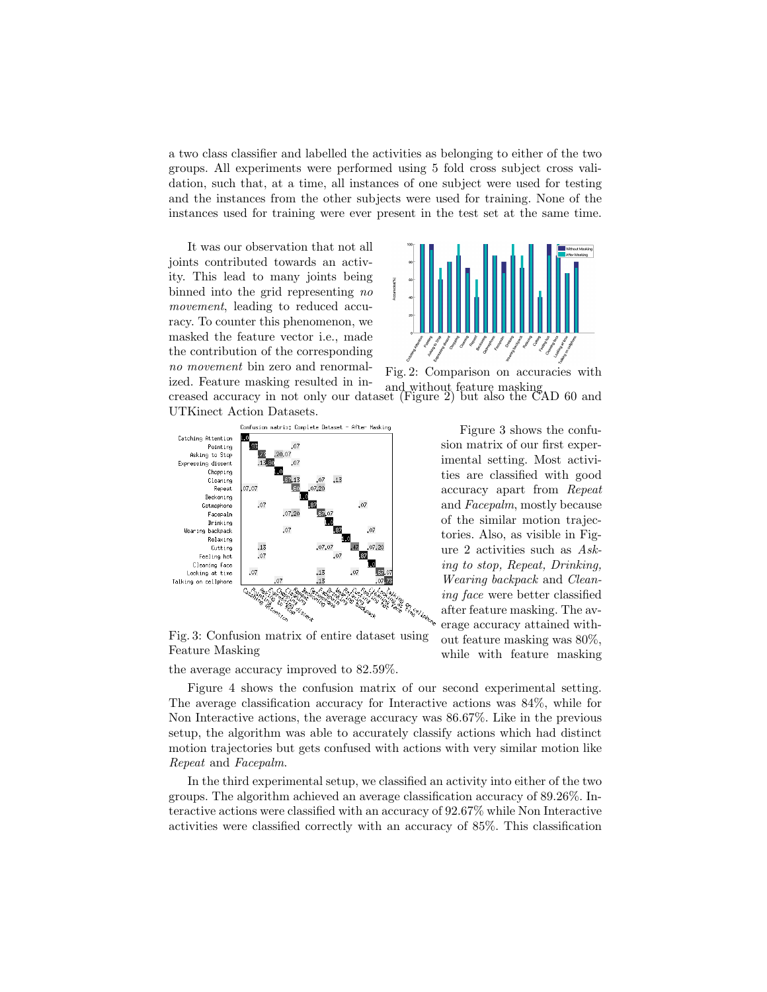a two class classifier and labelled the activities as belonging to either of the two groups. All experiments were performed using 5 fold cross subject cross validation, such that, at a time, all instances of one subject were used for testing and the instances from the other subjects were used for training. None of the instances used for training were ever present in the test set at the same time.

It was our observation that not all joints contributed towards an activity. This lead to many joints being binned into the grid representing no movement, leading to reduced accuracy. To counter this phenomenon, we masked the feature vector i.e., made the contribution of the corresponding no movement bin zero and renormalized. Feature masking resulted in in-



Fig. 3: Confusion matrix of entire dataset using Feature Masking

the average accuracy improved to 82.59%.

Figure 4 shows the confusion matrix of our second experimental setting. The average classification accuracy for Interactive actions was 84%, while for Non Interactive actions, the average accuracy was 86.67%. Like in the previous setup, the algorithm was able to accurately classify actions which had distinct motion trajectories but gets confused with actions with very similar motion like Repeat and Facepalm.

In the third experimental setup, we classified an activity into either of the two groups. The algorithm achieved an average classification accuracy of 89.26%. Interactive actions were classified with an accuracy of 92.67% while Non Interactive activities were classified correctly with an accuracy of 85%. This classification



Fig. 2: Comparison on accuracies with zed. Feature masking resulted in in-<br>creased accuracy in not only our dataset (Figure 2) but also the CAD 60 and

Figure 3 shows the confusion matrix of our first experimental setting. Most activities are classified with good accuracy apart from Repeat and Facepalm, mostly because of the similar motion trajectories. Also, as visible in Figure 2 activities such as Asking to stop, Repeat, Drinking, Wearing backpack and Cleaning face were better classified after feature masking. The average accuracy attained without feature masking was 80%,

while with feature masking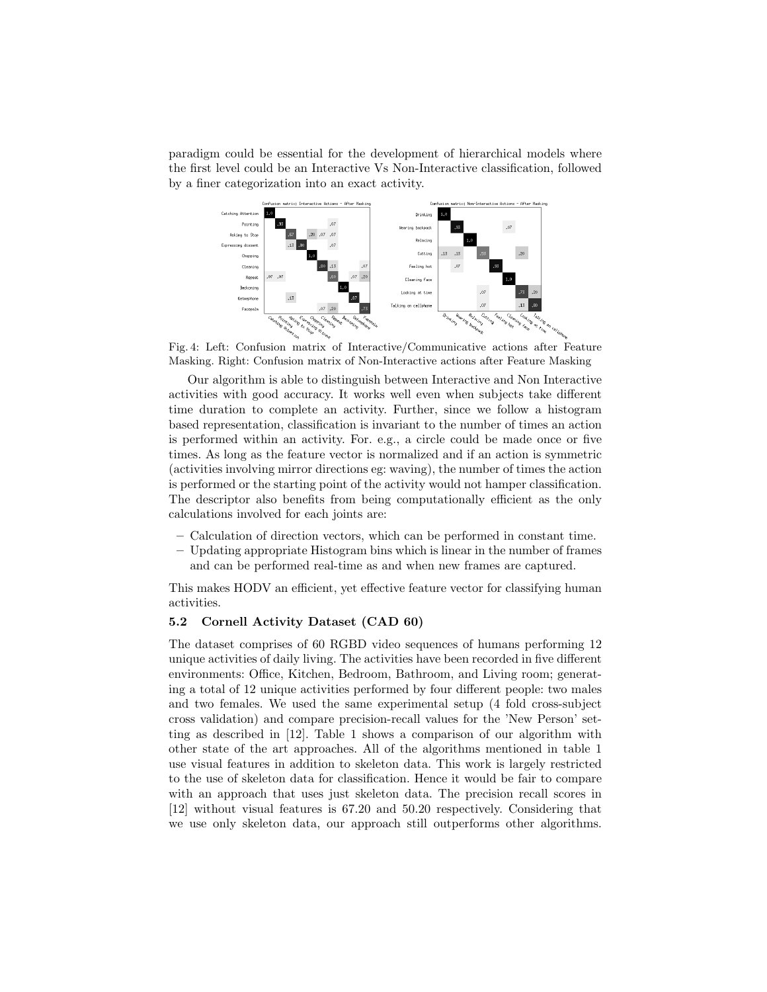paradigm could be essential for the development of hierarchical models where the first level could be an Interactive Vs Non-Interactive classification, followed by a finer categorization into an exact activity.



Fig. 4: Left: Confusion matrix of Interactive/Communicative actions after Feature Masking. Right: Confusion matrix of Non-Interactive actions after Feature Masking

Our algorithm is able to distinguish between Interactive and Non Interactive activities with good accuracy. It works well even when subjects take different time duration to complete an activity. Further, since we follow a histogram based representation, classification is invariant to the number of times an action is performed within an activity. For. e.g., a circle could be made once or five times. As long as the feature vector is normalized and if an action is symmetric (activities involving mirror directions eg: waving), the number of times the action is performed or the starting point of the activity would not hamper classification. The descriptor also benefits from being computationally efficient as the only calculations involved for each joints are:

- Calculation of direction vectors, which can be performed in constant time.
- Updating appropriate Histogram bins which is linear in the number of frames and can be performed real-time as and when new frames are captured.

This makes HODV an efficient, yet effective feature vector for classifying human activities.

#### 5.2 Cornell Activity Dataset (CAD 60)

The dataset comprises of 60 RGBD video sequences of humans performing 12 unique activities of daily living. The activities have been recorded in five different environments: Office, Kitchen, Bedroom, Bathroom, and Living room; generating a total of 12 unique activities performed by four different people: two males and two females. We used the same experimental setup (4 fold cross-subject cross validation) and compare precision-recall values for the 'New Person' setting as described in [12]. Table 1 shows a comparison of our algorithm with other state of the art approaches. All of the algorithms mentioned in table 1 use visual features in addition to skeleton data. This work is largely restricted to the use of skeleton data for classification. Hence it would be fair to compare with an approach that uses just skeleton data. The precision recall scores in [12] without visual features is 67.20 and 50.20 respectively. Considering that we use only skeleton data, our approach still outperforms other algorithms.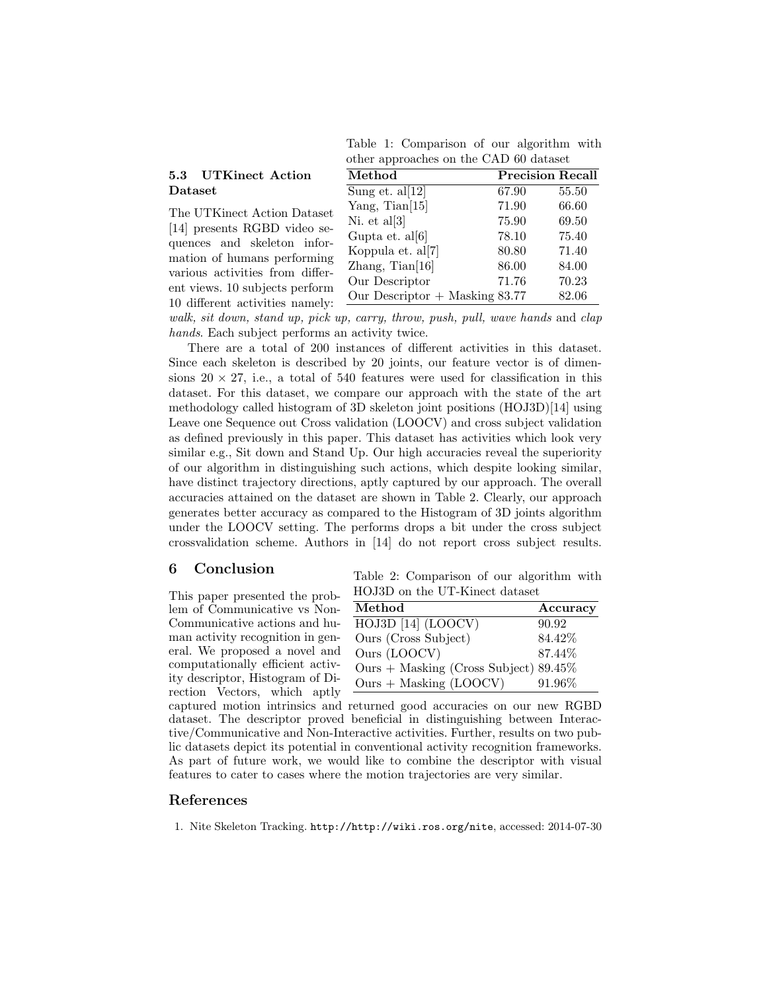Table 1: Comparison of our algorithm with other approaches on the CAD 60 dataset

#### 5.3 UTKinect Action Dataset

The UTKinect Action Dataset [14] presents RGBD video sequences and skeleton information of humans performing various activities from different views. 10 subjects perform 10 different activities namely:

| Method                           | <b>Precision Recall</b> |       |
|----------------------------------|-------------------------|-------|
| Sung et. al $[12]$               | 67.90                   | 55.50 |
| Yang, Tian $[15]$                | 71.90                   | 66.60 |
| Ni. et al $[3]$                  | 75.90                   | 69.50 |
| Gupta et. al[6]                  | 78.10                   | 75.40 |
| Koppula et. al[7]                | 80.80                   | 71.40 |
| Zhang, Tian $[16]$               | 86.00                   | 84.00 |
| Our Descriptor                   | 71.76                   | 70.23 |
| Our Descriptor $+$ Masking 83.77 |                         | 82.06 |

walk, sit down, stand up, pick up, carry, throw, push, pull, wave hands and clap hands. Each subject performs an activity twice.

There are a total of 200 instances of different activities in this dataset. Since each skeleton is described by 20 joints, our feature vector is of dimensions  $20 \times 27$ , i.e., a total of 540 features were used for classification in this dataset. For this dataset, we compare our approach with the state of the art methodology called histogram of 3D skeleton joint positions (HOJ3D)[14] using Leave one Sequence out Cross validation (LOOCV) and cross subject validation as defined previously in this paper. This dataset has activities which look very similar e.g., Sit down and Stand Up. Our high accuracies reveal the superiority of our algorithm in distinguishing such actions, which despite looking similar, have distinct trajectory directions, aptly captured by our approach. The overall accuracies attained on the dataset are shown in Table 2. Clearly, our approach generates better accuracy as compared to the Histogram of 3D joints algorithm under the LOOCV setting. The performs drops a bit under the cross subject crossvalidation scheme. Authors in [14] do not report cross subject results.

## 6 Conclusion

Table 2: Comparison of our algorithm with HOJ3D on the UT-Kinect dataset

This paper presented the problem of Communicative vs Non-Communicative actions and human activity recognition in general. We proposed a novel and computationally efficient activity descriptor, Histogram of Direction Vectors, which aptly

| $\operatorname{Method}$                 | Accuracy |
|-----------------------------------------|----------|
| $HOJ3D$ [14] $(LOOCV)$                  | 90.92    |
| Ours (Cross Subject)                    | 84.42%   |
| Ours (LOOCV)                            | 87.44%   |
| Ours $+$ Masking (Cross Subject) 89.45% |          |
| $Ours + Masking (LOOCV)$                | 91.96%   |

captured motion intrinsics and returned good accuracies on our new RGBD dataset. The descriptor proved beneficial in distinguishing between Interactive/Communicative and Non-Interactive activities. Further, results on two public datasets depict its potential in conventional activity recognition frameworks. As part of future work, we would like to combine the descriptor with visual features to cater to cases where the motion trajectories are very similar.

## References

1. Nite Skeleton Tracking. http://http://wiki.ros.org/nite, accessed: 2014-07-30